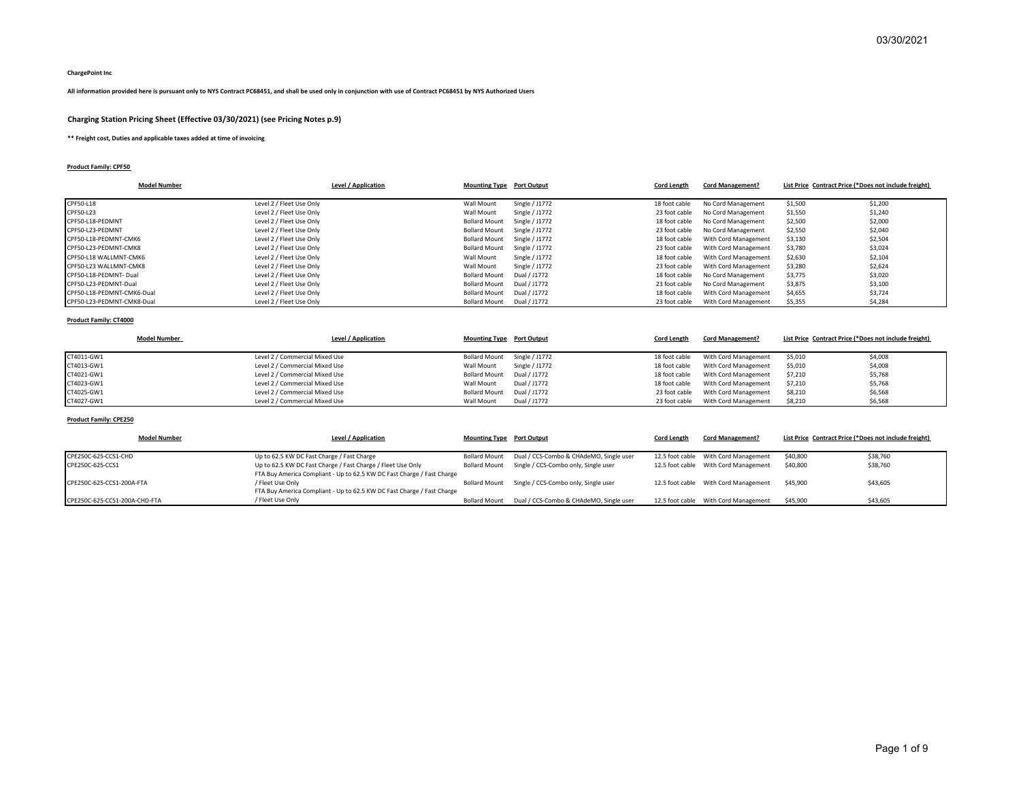#### **ChargePoint Inc**

## **All information provided here is pursuant only to NYS Contract PC68451, and shall be used only in conjunction with use of Contract PC68451 by NYS Authorized Users**

## **Charging Station Pricing Sheet (Effective 03/30/2021) (see Pricing Notes p.9)**

**\*\* Freight cost, Duties and applicable taxes added at time of invoicing**

## **Product Family: CPF50**

| <b>Model Number</b>        | Level / Application      | <b>Mounting Type</b> Port Output |                | <b>Cord Length</b> | <b>Cord Management?</b> | List Price Contract Price (*Does not include freight) |         |
|----------------------------|--------------------------|----------------------------------|----------------|--------------------|-------------------------|-------------------------------------------------------|---------|
|                            |                          |                                  |                |                    |                         |                                                       |         |
| CPF50-L18                  | Level 2 / Fleet Use Only | Wall Mount                       | Single / J1772 | 18 foot cable      | No Cord Management      | \$1,500                                               | \$1,200 |
| CPF50-L23                  | Level 2 / Fleet Use Only | Wall Mount                       | Single / J1772 | 23 foot cable      | No Cord Management      | \$1,550                                               | \$1,240 |
| CPF50-L18-PEDMNT           | Level 2 / Fleet Use Only | <b>Bollard Mount</b>             | Single / J1772 | 18 foot cable      | No Cord Management      | \$2,500                                               | \$2,000 |
| CPF50-L23-PEDMNT           | Level 2 / Fleet Use Only | <b>Bollard Mount</b>             | Single / J1772 | 23 foot cable      | No Cord Management      | \$2,550                                               | \$2,040 |
| CPF50-L18-PEDMNT-CMK6      | Level 2 / Fleet Use Only | <b>Bollard Mount</b>             | Single / J1772 | 18 foot cable      | With Cord Management    | \$3,130                                               | \$2,504 |
| CPF50-L23-PEDMNT-CMK8      | Level 2 / Fleet Use Only | <b>Bollard Mount</b>             | Single / J1772 | 23 foot cable      | With Cord Management    | \$3,780                                               | \$3,024 |
| CPF50-L18 WALLMNT-CMK6     | Level 2 / Fleet Use Only | Wall Mount                       | Single / J1772 | 18 foot cable      | With Cord Management    | \$2,630                                               | \$2,104 |
| CPF50-L23 WALLMNT-CMK8     | Level 2 / Fleet Use Only | Wall Mount                       | Single / J1772 | 23 foot cable      | With Cord Management    | \$3,280                                               | \$2,624 |
| CPF50-L18-PEDMNT-Dual      | Level 2 / Fleet Use Only | <b>Bollard Mount</b>             | Dual / J1772   | 18 foot cable      | No Cord Management      | \$3,775                                               | \$3,020 |
| CPF50-L23-PEDMNT-Dual      | Level 2 / Fleet Use Only | <b>Bollard Mount</b>             | Dual / J1772   | 23 foot cable      | No Cord Management      | \$3,875                                               | \$3,100 |
| CPF50-L18-PEDMNT-CMK6-Dual | Level 2 / Fleet Use Only | <b>Bollard Mount</b>             | Dual / J1772   | 18 foot cable      | With Cord Management    | \$4,655                                               | \$3,724 |
| CPF50-L23-PEDMNT-CMK8-Dual | Level 2 / Fleet Use Only | <b>Bollard Mount</b>             | Dual / J1772   | 23 foot cable      | With Cord Management    | \$5,355                                               | \$4,284 |

#### **Product Family: CT4000**

|            | <b>Model Number</b>            | Level / Application | <b>Mounting Type</b> Port Output | <b>Cord Length</b> | <b>Cord Management?</b> | List Price Contract Price (*Does not include freight) |         |
|------------|--------------------------------|---------------------|----------------------------------|--------------------|-------------------------|-------------------------------------------------------|---------|
|            |                                |                     |                                  |                    |                         |                                                       |         |
| CT4011-GW1 | Level 2 / Commercial Mixed Use |                     | Bollard Mount Single / J1772     | 18 foot cable      | With Cord Management    | \$5,010                                               | \$4,008 |
| CT4013-GW1 | Level 2 / Commercial Mixed Use | Wall Mount          | Single / J1772                   | 18 foot cable      | With Cord Management    | \$5,010                                               | \$4,008 |
| CT4021-GW1 | Level 2 / Commercial Mixed Use |                     | Bollard Mount Dual / J1772       | 18 foot cable      | With Cord Management    | \$7,210                                               | \$5,768 |
| CT4023-GW1 | Level 2 / Commercial Mixed Use | Wall Mount          | Dual / J1772                     | 18 foot cable      | With Cord Management    | \$7,210                                               | \$5,768 |
| CT4025-GW1 | Level 2 / Commercial Mixed Use |                     | Bollard Mount Dual / J1772       | 23 foot cable      | With Cord Management    | \$8,210                                               | \$6,568 |
| CT4027-GW1 | Level 2 / Commercial Mixed Use | Wall Mount          | Dual / J1772                     | 23 foot cable      | With Cord Management    | \$8,210                                               | \$6,568 |

## **Product Family: CPE250**

| <b>Model Number</b>           | Level / Application                                                                        | <b>Mounting Type</b> Port Output |                                                       | <b>Cord Length</b> | <b>Cord Management?</b>                 | List Price Contract Price (*Does not include freight) |          |
|-------------------------------|--------------------------------------------------------------------------------------------|----------------------------------|-------------------------------------------------------|--------------------|-----------------------------------------|-------------------------------------------------------|----------|
| CPE250C-625-CCS1-CHD          | Up to 62.5 KW DC Fast Charge / Fast Charge                                                 |                                  | Bollard Mount Dual / CCS-Combo & CHAdeMO, Single user |                    | 12.5 foot cable With Cord Management    | \$40,800                                              | \$38,760 |
| CPE250C-625-CCS1              | Up to 62.5 KW DC Fast Charge / Fast Charge / Fleet Use Only                                |                                  | Bollard Mount Single / CCS-Combo only, Single user    |                    | 12.5 foot cable With Cord Management    | \$40,800                                              | \$38,760 |
|                               | FTA Buy America Compliant - Up to 62.5 KW DC Fast Charge / Fast Charge                     |                                  |                                                       |                    |                                         |                                                       |          |
| CPE250C-625-CCS1-200A-FTA     | / Fleet Use Only<br>FTA Buy America Compliant - Up to 62.5 KW DC Fast Charge / Fast Charge |                                  | Bollard Mount Single / CCS-Combo only, Single user    |                    | 12.5 foot cable With Cord Management    | \$45,900                                              | \$43,605 |
| CPE250C-625-CCS1-200A-CHD-FTA | / Fleet Use Only                                                                           |                                  | Bollard Mount Dual / CCS-Combo & CHAdeMO, Single user |                    | 12.5 foot cable    With Cord Management | \$45.900                                              | \$43,605 |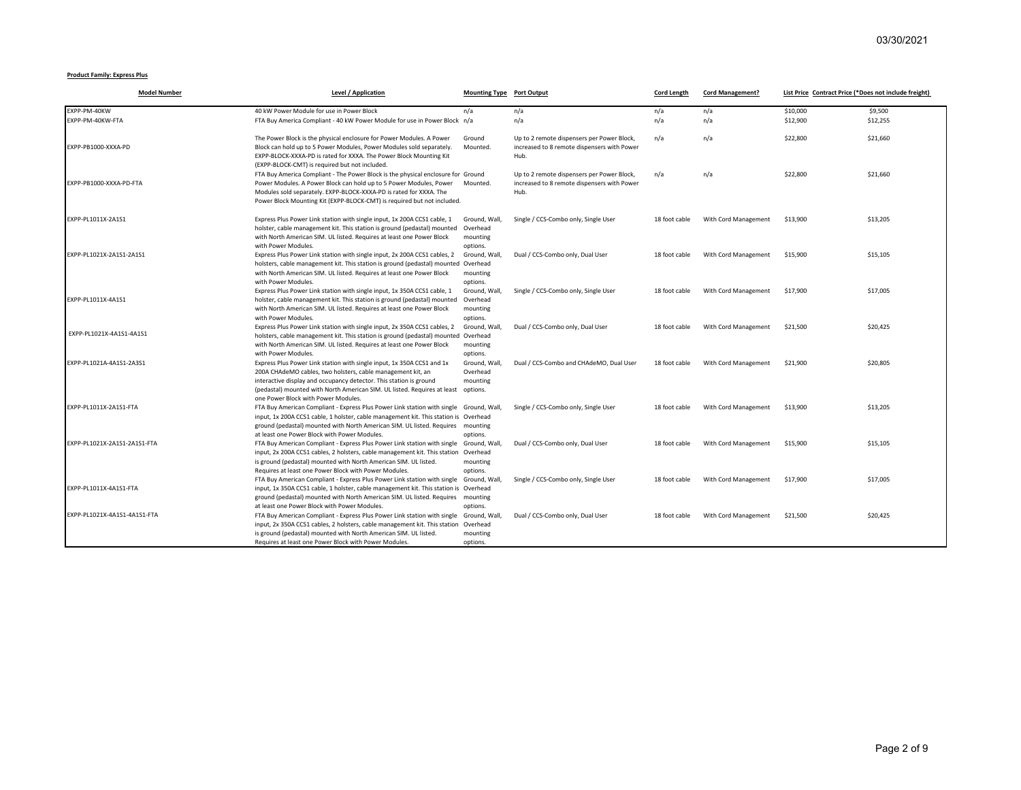#### **Product Family: Express Plus**

| <b>Model Number</b>          | <b>Level / Application</b>                                                                                                                                                                                                                                                                                                                              | <b>Mounting Type</b> Port Output                              |                                                                                                   | <b>Cord Length</b> | <b>Cord Management?</b> | List Price Contract Price (*Does not include freight) |          |
|------------------------------|---------------------------------------------------------------------------------------------------------------------------------------------------------------------------------------------------------------------------------------------------------------------------------------------------------------------------------------------------------|---------------------------------------------------------------|---------------------------------------------------------------------------------------------------|--------------------|-------------------------|-------------------------------------------------------|----------|
| EXPP-PM-40KW                 | 40 kW Power Module for use in Power Block                                                                                                                                                                                                                                                                                                               | n/a                                                           | n/a                                                                                               | n/a                | n/a                     | \$10,000                                              | \$9,500  |
| EXPP-PM-40KW-FTA             | FTA Buy America Compliant - 40 kW Power Module for use in Power Block n/a                                                                                                                                                                                                                                                                               |                                                               | n/a                                                                                               | n/a                | n/a                     | \$12,900                                              | \$12,255 |
| EXPP-PB1000-XXXA-PD          | The Power Block is the physical enclosure for Power Modules. A Power<br>Block can hold up to 5 Power Modules, Power Modules sold separately.<br>EXPP-BLOCK-XXXA-PD is rated for XXXA. The Power Block Mounting Kit<br>(EXPP-BLOCK-CMT) is required but not included.                                                                                    | Ground<br>Mounted.                                            | Up to 2 remote dispensers per Power Block,<br>increased to 8 remote dispensers with Power<br>Hub. | n/a                | n/a                     | \$22,800                                              | \$21,660 |
| EXPP-PB1000-XXXA-PD-FTA      | FTA Buy America Compliant - The Power Block is the physical enclosure for Ground<br>Power Modules. A Power Block can hold up to 5 Power Modules, Power<br>Modules sold separately. EXPP-BLOCK-XXXA-PD is rated for XXXA. The<br>Power Block Mounting Kit (EXPP-BLOCK-CMT) is required but not included.                                                 | Mounted.                                                      | Up to 2 remote dispensers per Power Block,<br>increased to 8 remote dispensers with Power<br>Hub. | n/a                | n/a                     | \$22,800                                              | \$21,660 |
| EXPP-PL1011X-2A1S1           | Express Plus Power Link station with single input, 1x 200A CCS1 cable, 1<br>holster, cable management kit. This station is ground (pedastal) mounted<br>with North American SIM. UL listed. Requires at least one Power Block<br>with Power Modules.                                                                                                    | Ground, Wall<br>Overhead<br>mounting<br>options.              | Single / CCS-Combo only, Single User                                                              | 18 foot cable      | With Cord Management    | \$13,900                                              | \$13,205 |
| EXPP-PL1021X-2A1S1-2A1S1     | Express Plus Power Link station with single input, 2x 200A CCS1 cables, 2<br>holsters, cable management kit. This station is ground (pedastal) mounted Overhead<br>with North American SIM. UL listed. Requires at least one Power Block<br>with Power Modules.                                                                                         | Ground, Wall<br>mounting                                      | Dual / CCS-Combo only, Dual User                                                                  | 18 foot cable      | With Cord Management    | \$15,900                                              | \$15,105 |
| EXPP-PL1011X-4A1S1           | Express Plus Power Link station with single input, 1x 350A CCS1 cable, 1<br>holster, cable management kit. This station is ground (pedastal) mounted<br>with North American SIM. UL listed. Requires at least one Power Block<br>with Power Modules.                                                                                                    | options.<br>Ground, Wall,<br>Overhead<br>mounting<br>options. | Single / CCS-Combo only, Single User                                                              | 18 foot cable      | With Cord Management    | \$17,900                                              | \$17,005 |
| EXPP-PL1021X-4A1S1-4A1S1     | Express Plus Power Link station with single input, 2x 350A CCS1 cables, 2<br>holsters, cable management kit. This station is ground (pedastal) mounted Overhead<br>with North American SIM. UL listed. Requires at least one Power Block                                                                                                                | Ground, Wall<br>mounting                                      | Dual / CCS-Combo only, Dual User                                                                  | 18 foot cable      | With Cord Management    | \$21,500                                              | \$20,425 |
| EXPP-PL1021A-4A1S1-2A3S1     | with Power Modules.<br>Express Plus Power Link station with single input, 1x 350A CCS1 and 1x<br>200A CHAdeMO cables, two holsters, cable management kit, an<br>interactive display and occupancy detector. This station is ground<br>(pedastal) mounted with North American SIM. UL listed. Requires at least                                          | options.<br>Ground, Wall<br>Overhead<br>mounting<br>options.  | Dual / CCS-Combo and CHAdeMO, Dual User                                                           | 18 foot cable      | With Cord Management    | \$21,900                                              | \$20,805 |
| EXPP-PL1011X-2A1S1-FTA       | one Power Block with Power Modules.<br>FTA Buy American Compliant - Express Plus Power Link station with single Ground, Wall<br>input, 1x 200A CCS1 cable, 1 holster, cable management kit. This station is Overhead<br>ground (pedastal) mounted with North American SIM. UL listed. Requires mounting<br>at least one Power Block with Power Modules. | options.                                                      | Single / CCS-Combo only, Single User                                                              | 18 foot cable      | With Cord Management    | \$13,900                                              | \$13,205 |
| EXPP-PL1021X-2A1S1-2A1S1-FTA | FTA Buy American Compliant - Express Plus Power Link station with single<br>input, 2x 200A CCS1 cables, 2 holsters, cable management kit. This station Overhead<br>is ground (pedastal) mounted with North American SIM. UL listed.<br>Requires at least one Power Block with Power Modules.                                                            | Ground, Wall<br>mounting<br>options.                          | Dual / CCS-Combo only, Dual User                                                                  | 18 foot cable      | With Cord Management    | \$15,900                                              | \$15,105 |
| EXPP-PL1011X-4A1S1-FTA       | FTA Buy American Compliant - Express Plus Power Link station with single<br>input, 1x 350A CCS1 cable, 1 holster, cable management kit. This station is Overhead<br>ground (pedastal) mounted with North American SIM. UL listed. Requires<br>at least one Power Block with Power Modules.                                                              | Ground, Wall<br>mounting                                      | Single / CCS-Combo only, Single User                                                              | 18 foot cable      | With Cord Management    | \$17,900                                              | \$17,005 |
| EXPP-PL1021X-4A1S1-4A1S1-FTA | FTA Buy American Compliant - Express Plus Power Link station with single Ground, Wall,<br>input, 2x 350A CCS1 cables, 2 holsters, cable management kit. This station Overhead<br>is ground (pedastal) mounted with North American SIM. UL listed.<br>Requires at least one Power Block with Power Modules.                                              | options.<br>mounting<br>options.                              | Dual / CCS-Combo only, Dual User                                                                  | 18 foot cable      | With Cord Management    | \$21,500                                              | \$20.425 |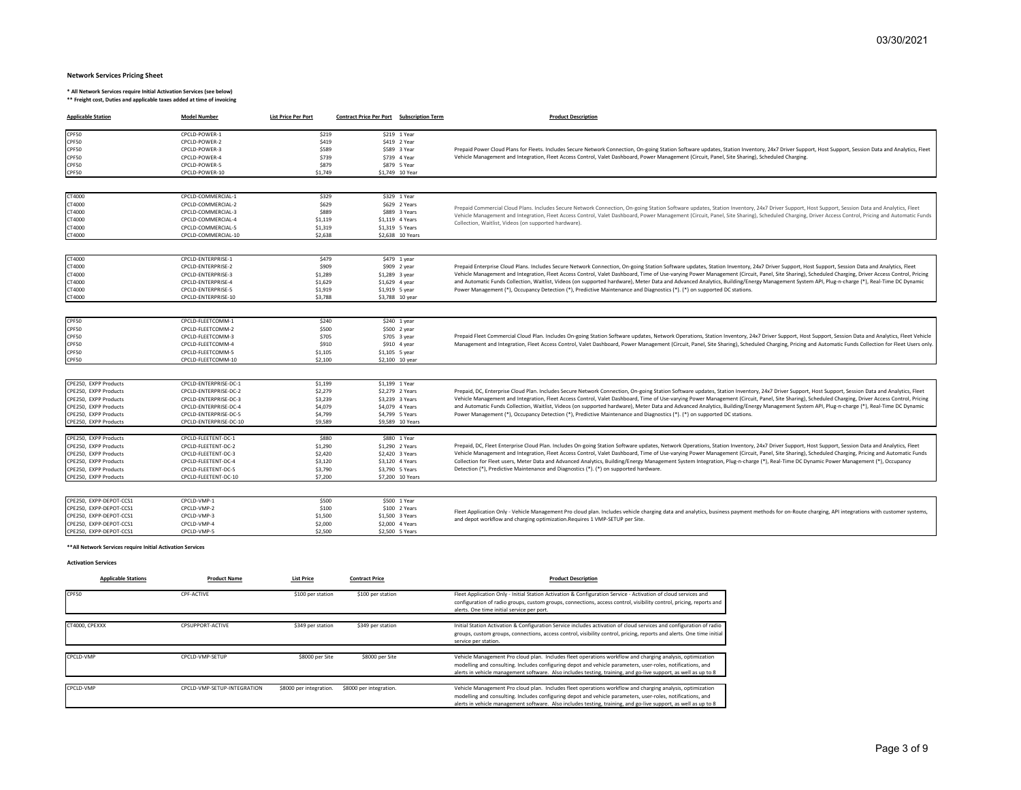#### **Network Services Pricing Sheet**

\* All Network Services require Initial Activation Services (see below)<br>\*\* Freight cost, Duties and applicable taxes added at time of invoicing

| <b>Applicable Station</b>                                   | <b>Model Number</b>                         | <b>List Price Per Port</b> | <b>Contract Price Per Port Subscription Term</b> | <b>Product Description</b>                                                                                                                                                                                                                                                                                              |
|-------------------------------------------------------------|---------------------------------------------|----------------------------|--------------------------------------------------|-------------------------------------------------------------------------------------------------------------------------------------------------------------------------------------------------------------------------------------------------------------------------------------------------------------------------|
| CPF50                                                       | CPCLD-POWER-1                               | \$219                      | \$219 1 Year                                     |                                                                                                                                                                                                                                                                                                                         |
| CPF50                                                       | CPCLD-POWER-2                               | \$419                      | \$419 2 Year                                     |                                                                                                                                                                                                                                                                                                                         |
| CPF50                                                       | CPCLD-POWER-3                               | \$589                      | \$589 3 Year                                     | Prepaid Power Cloud Plans for Fleets. Includes Secure Network Connection, On-going Station Software updates, Station Inventory, 24x7 Driver Support, Host Support, Session Data and Analytics, Fleet                                                                                                                    |
| CPF50<br>CPF50                                              | CPCLD-POWER-4<br>CPCLD-POWER-5              | \$739<br>\$879             | \$739 4 Year<br>\$879 5 Year                     | Vehicle Management and Integration, Fleet Access Control, Valet Dashboard, Power Management (Circuit, Panel, Site Sharing), Scheduled Charging.                                                                                                                                                                         |
| CPF50                                                       | CPCLD-POWER-10                              | \$1,749                    | \$1,749 10 Year                                  |                                                                                                                                                                                                                                                                                                                         |
|                                                             |                                             |                            |                                                  |                                                                                                                                                                                                                                                                                                                         |
| CT4000                                                      | CPCLD-COMMERCIAL-1                          | \$329                      | \$329 1 Year                                     |                                                                                                                                                                                                                                                                                                                         |
| CT4000<br>CT4000                                            | CPCLD-COMMERCIAL-2<br>CPCLD-COMMERCIAL-3    | \$629<br>\$889             | \$629 2 Years<br>\$889 3 Years                   | Prepaid Commercial Cloud Plans. Includes Secure Network Connection, On-going Station Software updates, Station Inventory, 24x7 Driver Support, Host Support, Session Data and Analytics, Fleet                                                                                                                          |
| CT4000                                                      | CPCLD-COMMERCIAL-4                          | \$1,119                    | \$1,119 4 Years                                  | Vehicle Management and Integration, Fleet Access Control, Valet Dashboard, Power Management (Circuit, Panel, Site Sharing), Scheduled Charging, Driver Access Control, Pricing and Automatic Funds                                                                                                                      |
| CT4000                                                      | CPCLD-COMMERCIAL-5                          | \$1,319                    | \$1,319 5 Years                                  | Collection, Waitlist, Videos (on supported hardware).                                                                                                                                                                                                                                                                   |
| CT4000                                                      | CPCLD-COMMERCIAL-10                         | \$2,638                    | \$2,638 10 Years                                 |                                                                                                                                                                                                                                                                                                                         |
|                                                             |                                             |                            |                                                  |                                                                                                                                                                                                                                                                                                                         |
| CT4000                                                      | CPCLD-ENTERPRISE-1                          | \$479                      | \$479 1 year                                     |                                                                                                                                                                                                                                                                                                                         |
| CT4000                                                      | CPCLD-ENTERPRISE-2                          | \$909                      | $$909$ 2 year                                    | Prepaid Enterprise Cloud Plans. Includes Secure Network Connection, On-going Station Software updates, Station Inventory, 24x7 Driver Support, Host Support, Session Data and Analytics, Fleet                                                                                                                          |
| CT4000                                                      | CPCLD-ENTERPRISE-3                          | \$1,289                    | \$1,289 3 year                                   | Vehicle Management and Integration, Fleet Access Control, Valet Dashboard, Time of Use-varying Power Management (Circuit, Panel, Site Sharing), Scheduled Charging, Driver Access Control, Pricing                                                                                                                      |
| CT4000<br>CT4000                                            | CPCLD-ENTERPRISE-4<br>CPCLD-ENTERPRISE-5    | \$1,629                    | \$1,629 4 year                                   | and Automatic Funds Collection, Waitlist, Videos (on supported hardware), Meter Data and Advanced Analytics, Building/Energy Management System API, Plug-n-charge (*), Real-Time DC Dynamic<br>Power Management (*), Occupancy Detection (*), Predictive Maintenance and Diagnostics (*). (*) on supported DC stations. |
| CT4000                                                      | CPCLD-ENTERPRISE-10                         | \$1,919<br>\$3,788         | \$1,919 5 year<br>\$3,788 10 year                |                                                                                                                                                                                                                                                                                                                         |
|                                                             |                                             |                            |                                                  |                                                                                                                                                                                                                                                                                                                         |
| CPF50                                                       | CPCLD-FLEETCOMM-1                           | \$240                      | $$240$ 1 year                                    |                                                                                                                                                                                                                                                                                                                         |
| CPF50                                                       | CPCLD-FLEETCOMM-2                           | \$500                      | \$500 2 year                                     |                                                                                                                                                                                                                                                                                                                         |
| CPF50                                                       | CPCLD-FLEETCOMM-3                           | \$705                      | \$705 3 year                                     | Prepaid Fleet Commercial Cloud Plan. Includes On-going Station Software updates, Network Operations, Station Inventory, 24x7 Driver Support, Host Support, Session Data and Analytics, Fleet Vehicle                                                                                                                    |
| CPF50                                                       | CPCLD-FLEETCOMM-4                           | \$910                      | \$910 4 year                                     | Management and Integration, Fleet Access Control, Valet Dashboard, Power Management (Circuit, Panel, Site Sharing), Scheduled Charging, Pricing and Automatic Funds Collection for Fleet Users only.                                                                                                                    |
| CPF50                                                       | CPCLD-FLEETCOMM-5                           | \$1,105                    | \$1,105 5 year                                   |                                                                                                                                                                                                                                                                                                                         |
| CPF50                                                       | CPCLD-FLEETCOMM-10                          | \$2,100                    | \$2,100 10 year                                  |                                                                                                                                                                                                                                                                                                                         |
| CPE250. EXPP Products                                       | CPCLD-ENTERPRISE-DC-1                       | \$1,199                    | \$1.199 1 Year                                   |                                                                                                                                                                                                                                                                                                                         |
| CPE250, EXPP Products                                       | CPCLD-ENTERPRISE-DC-2                       | \$2,279                    | \$2.279 2 Years                                  | Prepaid, DC, Enterprise Cloud Plan. Includes Secure Network Connection, On-going Station Software updates, Station Inventory, 24x7 Driver Support, Host Support, Session Data and Analytics, Fleet                                                                                                                      |
| CPE250, EXPP Products                                       | CPCLD-ENTERPRISE-DC-3                       | \$3,239                    | \$3,239 3 Years                                  | Vehicle Management and Integration, Fleet Access Control, Valet Dashboard, Time of Use-varying Power Management (Circuit, Panel, Site Sharing), Scheduled Charging, Driver Access Control, Pricing                                                                                                                      |
| CPE250, EXPP Products                                       | CPCLD-ENTERPRISE-DC-4                       | \$4,079                    | \$4,079 4 Years                                  | and Automatic Funds Collection, Waitlist, Videos (on supported hardware), Meter Data and Advanced Analytics, Building/Energy Management System API, Plug-n-charge (*), Real-Time DC Dynamic                                                                                                                             |
| CPE250, EXPP Products                                       | CPCLD-ENTERPRISE-DC-5                       | \$4,799                    | \$4,799 5 Years                                  | Power Management (*), Occupancy Detection (*), Predictive Maintenance and Diagnostics (*). (*) on supported DC stations.                                                                                                                                                                                                |
| CPE250, EXPP Products                                       | CPCLD-ENTERPRISE-DC-10                      | \$9.589                    | \$9,589 10 Years                                 |                                                                                                                                                                                                                                                                                                                         |
| CPE250, EXPP Products                                       | CPCLD-FLEETENT-DC-1                         | \$880                      | \$880 1 Year                                     |                                                                                                                                                                                                                                                                                                                         |
| CPE250, EXPP Products                                       | CPCLD-FLEETENT-DC-2                         | \$1,290                    | \$1,290 2 Years                                  | Prepaid, DC, Fleet Enterprise Cloud Plan. Includes On-going Station Software updates, Network Operations, Station Inventory, 24x7 Driver Support, Host Support, Session Data and Analytics, Fleet                                                                                                                       |
| CPE250, EXPP Products                                       | CPCLD-FLEETENT-DC-3                         | \$2,420                    | \$2,420 3 Years                                  | Vehicle Management and Integration, Fleet Access Control, Valet Dashboard, Time of Use-varying Power Management (Circuit, Panel, Site Sharing), Scheduled Charging, Pricing and Automatic Funds                                                                                                                         |
| CPE250, EXPP Products                                       | CPCLD-FLEETENT-DC-4                         | \$3,120                    | \$3.120 4 Years                                  | Collection for Fleet users, Meter Data and Advanced Analytics, Building/Energy Management System Integration, Plug-n-charge (*), Real-Time DC Dynamic Power Management (*), Occupancy                                                                                                                                   |
| CPE250, EXPP Products<br>CPE250, EXPP Products              | CPCLD-FLEETENT-DC-5<br>CPCLD-FLEETENT-DC-10 | \$3,790<br>\$7,200         | \$3,790 5 Years<br>\$7,200 10 Years              | Detection (*), Predictive Maintenance and Diagnostics (*). (*) on supported hardware.                                                                                                                                                                                                                                   |
|                                                             |                                             |                            |                                                  |                                                                                                                                                                                                                                                                                                                         |
| CPE250, EXPP-DEPOT-CCS1                                     | CPCLD-VMP-1                                 | \$500                      | \$500 1 Year                                     |                                                                                                                                                                                                                                                                                                                         |
| CPE250, EXPP-DEPOT-CCS1                                     | CPCLD-VMP-2                                 | \$100                      | \$100 2 Years                                    | Fleet Application Only - Vehicle Management Pro cloud plan. Includes vehicle charging data and analytics, business payment methods for on-Route charging, API integrations with customer systems,                                                                                                                       |
| CPE250, EXPP-DEPOT-CCS1<br>CPE250. EXPP-DEPOT-CCS1          | CPCLD-VMP-3<br>CPCLD-VMP-4                  | \$1,500<br>\$2,000         | \$1,500 3 Years<br>\$2,000 4 Years               | and depot workflow and charging optimization.Requires 1 VMP-SETUP per Site.                                                                                                                                                                                                                                             |
| CPE250, EXPP-DEPOT-CCS1                                     | CPCLD-VMP-5                                 | \$2,500                    | \$2,500 5 Years                                  |                                                                                                                                                                                                                                                                                                                         |
| ** All Network Services require Initial Activation Services |                                             |                            |                                                  |                                                                                                                                                                                                                                                                                                                         |
| <b>Activation Services</b>                                  |                                             |                            |                                                  |                                                                                                                                                                                                                                                                                                                         |
|                                                             |                                             |                            |                                                  |                                                                                                                                                                                                                                                                                                                         |
| <b>Applicable Stations</b>                                  | <b>Product Name</b>                         | <b>List Price</b>          | <b>Contract Price</b>                            | <b>Product Description</b>                                                                                                                                                                                                                                                                                              |
| CPF50                                                       | CPF-ACTIVE                                  | \$100 per station          | \$100 per station                                | Fleet Application Only - Initial Station Activation & Configuration Service - Activation of cloud services and<br>configuration of radio groups, custom groups, connections, access control, visibility control, pricing, reports and                                                                                   |
|                                                             |                                             |                            |                                                  | alerts. One time initial service per port.                                                                                                                                                                                                                                                                              |
| CT4000, CPEXXX                                              | CPSUPPORT-ACTIVE                            | \$349 per station          | \$349 per station                                | Initial Station Activation & Configuration Service includes activation of cloud services and configuration of radio                                                                                                                                                                                                     |
|                                                             |                                             |                            |                                                  | groups, custom groups, connections, access control, visibility control, pricing, reports and alerts. One time initial                                                                                                                                                                                                   |
|                                                             |                                             |                            |                                                  | service per station                                                                                                                                                                                                                                                                                                     |
| CPCLD-VMP                                                   | CPCLD-VMP-SETUP                             | \$8000 per Site            | \$8000 per Site                                  | Vehicle Management Pro cloud plan. Includes fleet operations workflow and charging analysis, optimization                                                                                                                                                                                                               |
|                                                             |                                             |                            |                                                  | modelling and consulting. Includes configuring depot and vehicle parameters, user-roles, notifications, and                                                                                                                                                                                                             |
|                                                             |                                             |                            |                                                  | alerts in vehicle management software. Also includes testing, training, and go-live support, as well as up to 8                                                                                                                                                                                                         |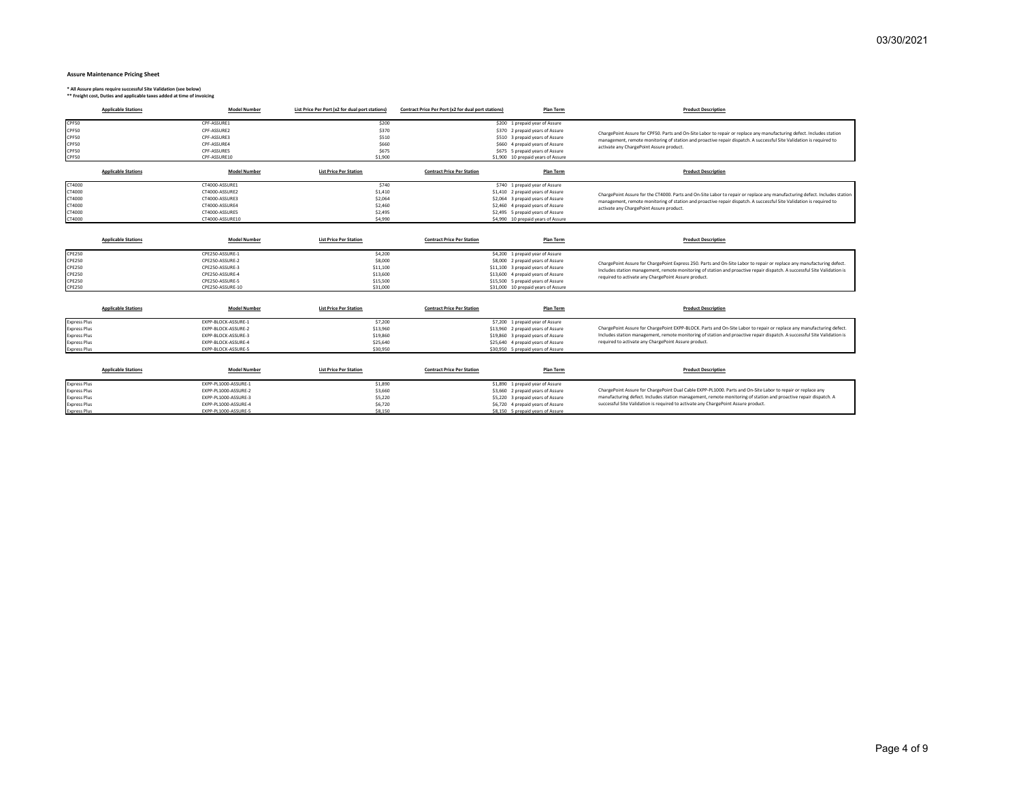#### **Assure Maintenance Pricing Sheet**

**\* All Assure plans require successful Site Validation (see below) \*\* Freight cost, Duties and applicable taxes added at time of invoicing**

| <b>Applicable Stations</b>                                                                         | <b>Model Number</b>                                                                                             | List Price Per Port (x2 for dual port stations)                    | Contract Price Per Port (x2 for dual port stations) | <b>Plan Term</b>                                                                                                                                                                                                               | <b>Product Description</b>                                                                                                                                                                                                                                                                                 |
|----------------------------------------------------------------------------------------------------|-----------------------------------------------------------------------------------------------------------------|--------------------------------------------------------------------|-----------------------------------------------------|--------------------------------------------------------------------------------------------------------------------------------------------------------------------------------------------------------------------------------|------------------------------------------------------------------------------------------------------------------------------------------------------------------------------------------------------------------------------------------------------------------------------------------------------------|
| CPF50<br>CPF50<br>CPF50<br>CPF50<br>CPF50<br>CPF50                                                 | CPF-ASSURE1<br>CPF-ASSURE2<br>CPF-ASSURE3<br>CPF-ASSURE4<br>CPF-ASSURES<br>CPF-ASSURE10                         | \$200<br>\$370<br>\$510<br>\$660<br>\$675<br>\$1,900               |                                                     | \$200 1 prepaid year of Assure<br>\$370 2 prepaid years of Assure<br>\$510 3 prepaid years of Assure<br>\$660 4 prepaid years of Assure<br>\$675 5 prepaid years of Assure<br>\$1,900 10 prepaid years of Assure               | ChargePoint Assure for CPF50. Parts and On-Site Labor to repair or replace any manufacturing defect. Includes station<br>management, remote monitoring of station and proactive repair dispatch. A successful Site Validation is required to<br>activate any ChargePoint Assure product.                   |
| <b>Applicable Stations</b>                                                                         | <b>Model Number</b>                                                                                             | <b>List Price Per Station</b>                                      | <b>Contract Price Per Station</b>                   | Plan Term                                                                                                                                                                                                                      | <b>Product Description</b>                                                                                                                                                                                                                                                                                 |
| CT4000<br>CT4000<br>CT4000<br>CT4000<br>CT4000<br>CT4000                                           | CT4000-ASSURE1<br>CT4000-ASSURE2<br>CT4000-ASSURE3<br>CT4000-ASSURE4<br>CT4000-ASSURES<br>CT4000-ASSURE10       | \$740<br>\$1,410<br>\$2,064<br>\$2,460<br>\$2,495<br>\$4,990       |                                                     | \$740 1 prepaid year of Assure<br>\$1,410 2 prepaid years of Assure<br>\$2,064 3 prepaid years of Assure<br>\$2,460 4 prepaid years of Assure<br>\$2,495 5 prepaid years of Assure<br>\$4,990 10 prepaid years of Assure       | ChargePoint Assure for the CT4000. Parts and On-Site Labor to repair or replace any manufacturing defect. Includes station<br>management, remote monitoring of station and proactive repair dispatch. A successful Site Validation is required to<br>activate any ChargePoint Assure product.              |
| <b>Applicable Stations</b>                                                                         | <b>Model Number</b>                                                                                             | <b>List Price Per Station</b>                                      | <b>Contract Price Per Station</b>                   | Plan Term                                                                                                                                                                                                                      | <b>Product Description</b>                                                                                                                                                                                                                                                                                 |
| <b>CPE250</b><br><b>CPE250</b><br><b>CPE250</b><br><b>CPE250</b><br><b>CPE250</b><br><b>CPE250</b> | CPE250-ASSURE-1<br>CPE250-ASSURE-2<br>CPE250-ASSURE-3<br>CPE250-ASSURE-4<br>CPE250-ASSURE-5<br>CPE250-ASSURE-10 | \$4,200<br>\$8,000<br>\$11,100<br>\$13,600<br>\$15,500<br>\$31,000 |                                                     | \$4,200 1 prepaid year of Assure<br>\$8,000 2 prepaid years of Assure<br>\$11,100 3 prepaid years of Assure<br>\$13,600 4 prepaid years of Assure<br>\$15,500 5 prepaid years of Assure<br>\$31,000 10 prepaid years of Assure | ChargePoint Assure for ChargePoint Express 250. Parts and On-Site Labor to repair or replace any manufacturing defect.<br>Includes station management, remote monitoring of station and proactive repair dispatch. A successful Site Validation is<br>required to activate any ChargePoint Assure product. |

| <b>Applicable Stations</b> | <b>Model Number</b> | <b>List Price Per Station</b> | <b>Contract Price Per Station</b> | Plan Term                          | <b>Product Description</b>                                                                                               |
|----------------------------|---------------------|-------------------------------|-----------------------------------|------------------------------------|--------------------------------------------------------------------------------------------------------------------------|
| <b>Express Plus</b>        | EXPP-BLOCK-ASSURE-1 | \$7,200                       |                                   | \$7,200 1 prepaid year of Assure   |                                                                                                                          |
| <b>Express Plus</b>        | EXPP-BLOCK-ASSURE-2 | \$13,960                      |                                   | \$13,960 2 prepaid years of Assure | ChargePoint Assure for ChargePoint EXPP-BLOCK. Parts and On-Site Labor to repair or replace any manufacturing defect.    |
| <b>Express Plus</b>        | EXPP-BLOCK-ASSURE-3 | \$19,860                      |                                   | \$19,860 3 prepaid years of Assure | Includes station management, remote monitoring of station and proactive repair dispatch. A successful Site Validation is |
| <b>Express Plus</b>        | EXPP-BLOCK-ASSURE-4 | \$25,640                      |                                   | \$25,640 4 prepaid years of Assure | required to activate any ChargePoint Assure product.                                                                     |
| <b>Express Plus</b>        | EXPP-BLOCK-ASSURE-5 | \$30,950                      |                                   | \$30,950 5 prepaid years of Assure |                                                                                                                          |

| <b>Applicable Stations</b> | <b>Model Number</b>  | <b>List Price Per Station</b> | <b>Contract Price Per Station</b><br><b>Plan Term</b> | <b>Product Description</b>                                                                                       |
|----------------------------|----------------------|-------------------------------|-------------------------------------------------------|------------------------------------------------------------------------------------------------------------------|
| <b>Express Plus</b>        | EXPP-PL1000-ASSURE-1 | \$1,890                       | \$1,890 1 prepaid year of Assure                      |                                                                                                                  |
| <b>Express Plus</b>        | EXPP-PL1000-ASSURE-2 | \$3,660                       | \$3,660 2 prepaid years of Assure                     | ChargePoint Assure for ChargePoint Dual Cable EXPP-PL1000. Parts and On-Site Labor to repair or replace any      |
| <b>Express Plus</b>        | EXPP-PL1000-ASSURE-3 | \$5,220                       | \$5,220 3 prepaid years of Assure                     | manufacturing defect. Includes station management, remote monitoring of station and proactive repair dispatch. A |
| <b>Express Plus</b>        | EXPP-PL1000-ASSURE-4 | \$6,720                       | \$6,720 4 prepaid years of Assure                     | successful Site Validation is required to activate any ChargePoint Assure product.                               |
| <b>Express Plus</b>        | EXPP-PL1000-ASSURE-5 | \$8,150                       | \$8,150 5 prepaid years of Assure                     |                                                                                                                  |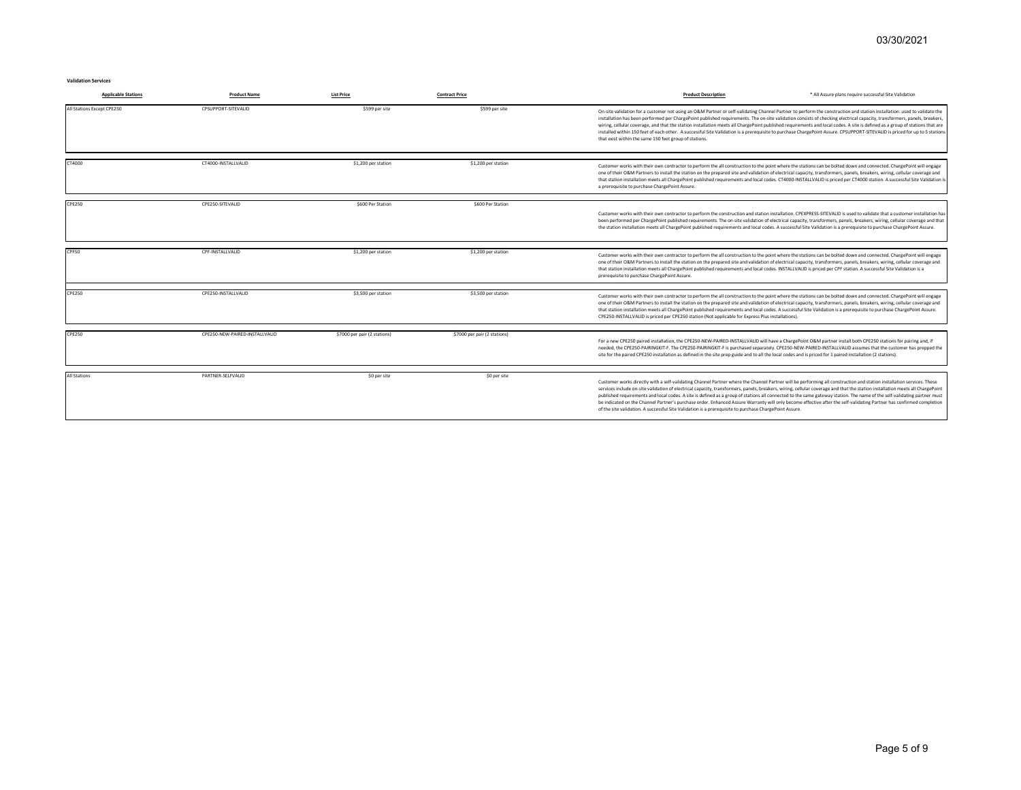**Validation Services**

| <b>Applicable Stations</b> | <b>Product Name</b>            | <b>List Price</b>            | <b>Contract Price</b>        | * All Assure plans require successful Site Validation<br><b>Product Description</b>                                                                                                                                                                                                                                                                                                                                                                                                                                                                                                                                                                                                                                                                                                                                  |
|----------------------------|--------------------------------|------------------------------|------------------------------|----------------------------------------------------------------------------------------------------------------------------------------------------------------------------------------------------------------------------------------------------------------------------------------------------------------------------------------------------------------------------------------------------------------------------------------------------------------------------------------------------------------------------------------------------------------------------------------------------------------------------------------------------------------------------------------------------------------------------------------------------------------------------------------------------------------------|
| All Stations Except CPE250 | CPSUPPORT-SITEVALID            | \$599 per site               | \$599 per site               | On-site validation for a customer not using an O&M Partner or self-validating Channel Partner to perform the construction and station installation: used to validate the<br>installation has been performed per ChargePoint published requirements. The on-site validation consists of checking electrical capacity, transformers, panels, breakers,<br>wiring, cellular coverage, and that the station installation meets all ChargePoint published requirements and local codes. A site is defined as a group of stations that are<br>installed within 150 feet of each other. A successful Site Validation is a prerequisite to purchase ChargePoint Assure. CPSUPPORT-SITEVALID is priced for up to 5 stations<br>that exist within the same 150 feet group of stations.                                         |
| CT4000                     | CT4000-INSTALLVALID            | \$1,200 per station          | \$1,200 per station          | Customer works with their own contractor to perform the all construction to the point where the stations can be bolted down and connected. ChargePoint will engage<br>one of their O&M Partners to install the station on the prepared site and validation of electrical capacity, transformers, panels, breakers, wiring, cellular coverage and<br>that station installation meets all ChargePoint published requirements and local codes. CT4000-INSTALLVALID is priced per CT4000 station. A successful Site Validation is<br>a prerequisite to purchase ChargePoint Assure.                                                                                                                                                                                                                                      |
| <b>CPE250</b>              | CPE250-SITEVALID               | \$600 Per Station            | \$600 Per Station            | Customer works with their own contractor to perform the construction and station installation. CPEXPRESS-SITEVALID is used to validate that a customer installation has<br>been performed per ChargePoint published requirements. The on-site validation of electrical capacity, transformers, panels, breakers, wiring, cellular coverage and that<br>the station installation meets all ChargePoint published requirements and local codes. A successful Site Validation is a prerequisite to purchase ChargePoint Assure.                                                                                                                                                                                                                                                                                         |
| CPF50                      | CPF-INSTALLVALID               | \$1,200 per station          | \$1,200 per station          | Customer works with their own contractor to perform the all construction to the point where the stations can be bolted down and connected. ChargePoint will engage<br>one of their O&M Partners to install the station on the prepared site and validation of electrical capacity, transformers, panels, breakers, wiring, cellular coverage and<br>that station installation meets all ChargePoint published requirements and local codes. INSTALLVALID is priced per CPF station. A successful Site Validation is a<br>prerequisite to purchase ChargePoint Assure.                                                                                                                                                                                                                                                |
| <b>CPE250</b>              | CPE250-INSTALLVALID            | \$3,500 per station          | \$3,500 per station          | Customer works with their own contractor to perform the all construction to the point where the stations can be bolted down and connected. ChargePoint will engage<br>one of their O&M Partners to install the station on the prepared site and validation of electrical capacity, transformers, panels, breakers, wiring, cellular coverage and<br>that station installation meets all ChargePoint published requirements and local codes. A successful Site Validation is a prerequisite to purchase ChargePoint Assure.<br>CPE250-INSTALLVALID is priced per CPE250 station (Not applicable for Express Plus installations).                                                                                                                                                                                      |
| <b>CPE250</b>              | CPE250-NEW-PAIRED-INSTALLVALID | \$7000 per pair (2 stations) | \$7000 per pair (2 stations) | For a new CPE250 paired installation, the CPE250-NEW-PAIRED-INSTALLVALID will have a ChargePoint O&M partner install both CPE250 stations for pairing and, if<br>needed, the CPE250-PAIRINGKIT-F. The CPE250-PAIRINGKIT-F is purchased separately. CPE250-NEW-PAIRED-INSTALLVALID assumes that the customer has prepped the<br>site for the paired CPE250 installation as defined in the site prep guide and to all the local codes and is priced for 1 paired installation (2 stations).                                                                                                                                                                                                                                                                                                                            |
| <b>All Stations</b>        | PARTNER-SELFVALID              | \$0 per site                 | \$0 per site                 | Customer works directly with a self-validating Channel Partner where the Channel Partner will be performing all construction and station installation services. These<br>services include on-site validation of electrical capacity, transformers, panels, breakers, wiring, cellular coverage and that the station installation meets all ChargePoint<br>published requirements and local codes. A site is defined as a group of stations all connected to the same gateway station. The name of the self-validating partner must<br>be indicated on the Channel Partner's purchase order. Enhanced Assure Warranty will only become effective after the self-validating Partner has confirmed completion<br>of the site validation. A successful Site Validation is a prerequisite to purchase ChargePoint Assure. |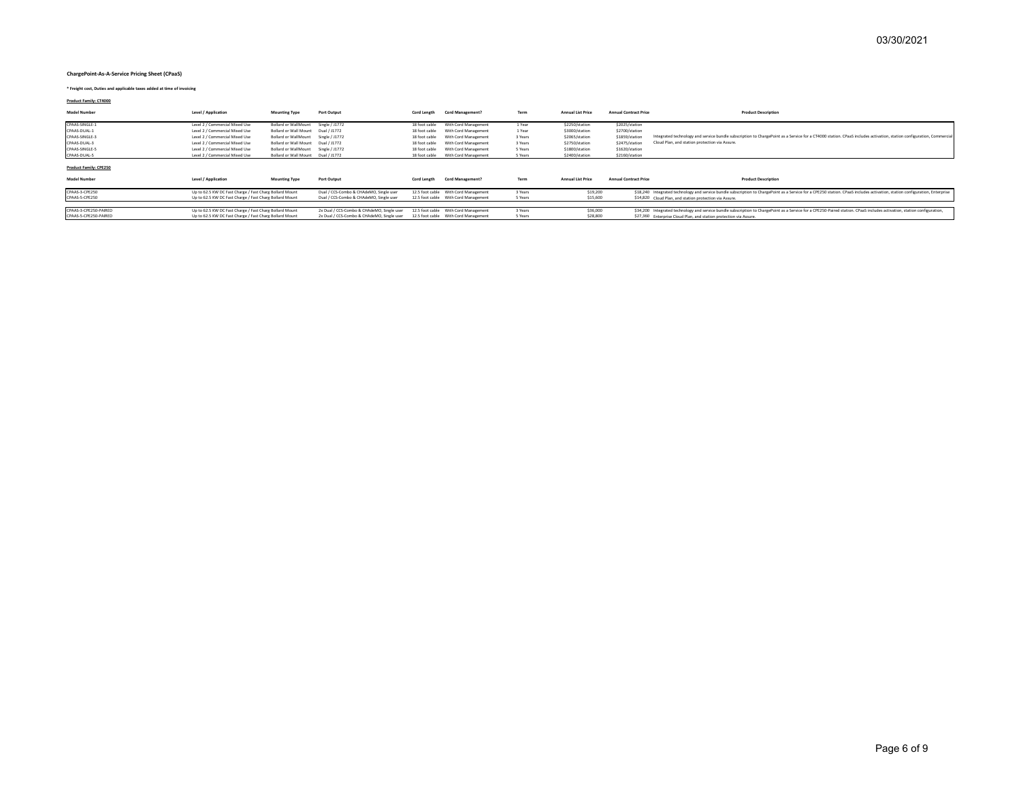#### **ChargePoint-As-A-Service Pricing Sheet (CPaaS)**

**\* Freight cost, Duties and applicable taxes added at time of invoicing**

**Product Family: CT4000**

| <b>Model Number</b>                            | Level / Application                                                                                                | <b>Mounting Type</b>               | Port Output                                                                              | Cord Length   | <b>Cord Management?</b>                                                      | Term               | <b>Annual List Price</b> | <b>Annual Contract Price</b> | <b>Product Description</b>                                                                                                                                                                                                                      |
|------------------------------------------------|--------------------------------------------------------------------------------------------------------------------|------------------------------------|------------------------------------------------------------------------------------------|---------------|------------------------------------------------------------------------------|--------------------|--------------------------|------------------------------|-------------------------------------------------------------------------------------------------------------------------------------------------------------------------------------------------------------------------------------------------|
| CPAAS-SINGLE-1                                 | Level 2 / Commercial Mixed Use                                                                                     | <b>Bollard or WallMount</b>        | Single / J1772                                                                           | 18 foot cable | With Cord Management                                                         | 1 Year             | \$2250/station           | \$2025/station               |                                                                                                                                                                                                                                                 |
| CPAAS-DUAL-1                                   | Level 2 / Commercial Mixed Use                                                                                     | Bollard or Wall Mount              | Dual / J1772                                                                             | 18 foot cable | With Cord Management                                                         | 1 Year             | \$3000/station           | \$2700/station               |                                                                                                                                                                                                                                                 |
| CPAAS-SINGLE-3                                 | Level 2 / Commercial Mixed Use                                                                                     | <b>Bollard or WallMount</b>        | Single / J1772                                                                           | 18 foot cable | With Cord Management                                                         | 3 Years            | \$2065/station           | \$1859/station               | Integrated technology and service bundle subscription to ChargePoint as a Service for a CT4000 station. CPaaS includes activation, station configuration, Commercia                                                                             |
| CPAAS-DUAL-3                                   | Level 2 / Commercial Mixed Use                                                                                     | Bollard or Wall Mount              | Dual / J1772                                                                             | 18 foot cable | With Cord Management                                                         | 3 Years            | \$2750/station           | \$2475/station               | Cloud Plan, and station protection via Assure.                                                                                                                                                                                                  |
| CPAAS-SINGLE-5                                 | Level 2 / Commercial Mixed Use                                                                                     | <b>Bollard or WallMount</b>        | Single / J1772                                                                           | 18 foot cable | With Cord Management                                                         | 5 Years            | \$1800/station           | \$1620/station               |                                                                                                                                                                                                                                                 |
| CPAAS-DUAL-5                                   | Level 2 / Commercial Mixed Use                                                                                     | Bollard or Wall Mount Dual / J1772 |                                                                                          | 18 foot cable | With Cord Management                                                         | 5 Years            | \$2400/station           | \$2160/station               |                                                                                                                                                                                                                                                 |
| Product Family: CPE250<br><b>Model Number</b>  | Level / Application                                                                                                | <b>Mounting Type</b>               | Port Output                                                                              | Cord Length   | <b>Cord Management?</b>                                                      | Term               | <b>Annual List Price</b> | <b>Annual Contract Price</b> | <b>Product Description</b>                                                                                                                                                                                                                      |
| CPAAS-3-CPE250                                 | Up to 62.5 KW DC Fast Charge / Fast Charg Bollard Mount                                                            |                                    | Dual / CCS-Combo & CHAdeMO, Single user                                                  |               | 12.5 foot cable With Cord Management                                         | 3 Years            | \$19,200                 |                              | \$18,240 Integrated technology and service bundle subscription to ChargePoint as a Service for a CPE250 station. CPaaS includes activation, station configuration, Enterprise                                                                   |
| CPAAS-S-CPE250                                 | Up to 62.5 KW DC Fast Charge / Fast Charg Bollard Mount                                                            |                                    | Dual / CCS-Combo & CHAdeMO, Single user                                                  |               | 12.5 foot cable With Cord Management                                         | 5 Years            | \$15,600                 |                              | \$14,820 Cloud Plan, and station protection via Assure.                                                                                                                                                                                         |
|                                                |                                                                                                                    |                                    |                                                                                          |               |                                                                              |                    |                          |                              |                                                                                                                                                                                                                                                 |
| CPAAS-3-CPE250-PAIRED<br>CPAAS-5-CPE250-PAIRED | Up to 62.5 KW DC Fast Charge / Fast Charg Bollard Mount<br>Up to 62.5 KW DC Fast Charge / Fast Charg Bollard Mount |                                    | 2x Dual / CCS-Combo & CHAdeMO, Single user<br>2x Dual / CCS-Combo & CHAdeMO, Single user |               | 12.5 foot cable With Cord Management<br>12.5 foot cable With Cord Management | 3 Years<br>5 Years | \$36,000<br>\$28,800     |                              | \$34,200 Integrated technology and service bundle subscription to ChargePoint as a Service for a CPE250-Paired station. CPaaS includes activation, station configuration,<br>\$27,360 Enterprise Cloud Plan, and station protection via Assure. |
|                                                |                                                                                                                    |                                    |                                                                                          |               |                                                                              |                    |                          |                              |                                                                                                                                                                                                                                                 |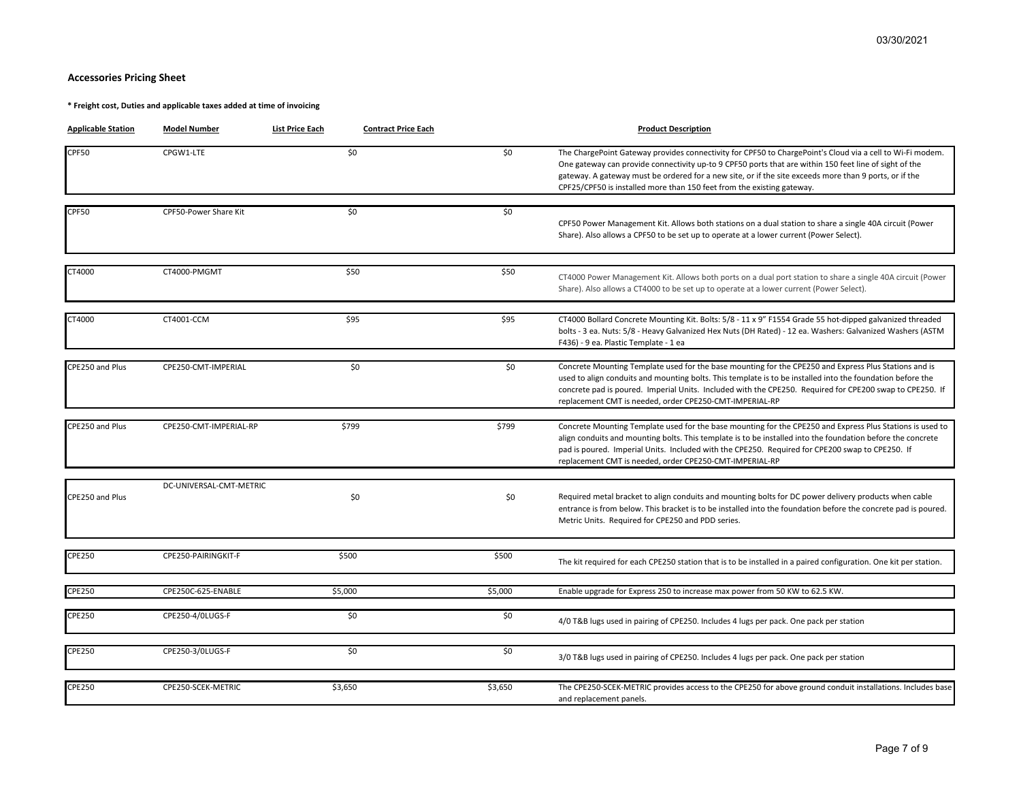# **Accessories Pricing Sheet**

**\* Freight cost, Duties and applicable taxes added at time of invoicing**

| <b>Applicable Station</b> | <b>Model Number</b>     | <b>List Price Each</b><br><b>Contract Price Each</b> |         | <b>Product Description</b>                                                                                                                                                                                                                                                                                                                                                                              |
|---------------------------|-------------------------|------------------------------------------------------|---------|---------------------------------------------------------------------------------------------------------------------------------------------------------------------------------------------------------------------------------------------------------------------------------------------------------------------------------------------------------------------------------------------------------|
| CPF50                     | CPGW1-LTE               | \$0                                                  | \$0     | The ChargePoint Gateway provides connectivity for CPF50 to ChargePoint's Cloud via a cell to Wi-Fi modem.<br>One gateway can provide connectivity up-to 9 CPF50 ports that are within 150 feet line of sight of the<br>gateway. A gateway must be ordered for a new site, or if the site exceeds more than 9 ports, or if the<br>CPF25/CPF50 is installed more than 150 feet from the existing gateway. |
| CPF50                     | CPF50-Power Share Kit   | \$0                                                  | \$0\$   | CPF50 Power Management Kit. Allows both stations on a dual station to share a single 40A circuit (Power<br>Share). Also allows a CPF50 to be set up to operate at a lower current (Power Select).                                                                                                                                                                                                       |
| CT4000                    | CT4000-PMGMT            | \$50                                                 | \$50    | CT4000 Power Management Kit. Allows both ports on a dual port station to share a single 40A circuit (Power<br>Share). Also allows a CT4000 to be set up to operate at a lower current (Power Select).                                                                                                                                                                                                   |
| CT4000                    | CT4001-CCM              | \$95                                                 | \$95    | CT4000 Bollard Concrete Mounting Kit. Bolts: 5/8 - 11 x 9" F1554 Grade 55 hot-dipped galvanized threaded<br>bolts - 3 ea. Nuts: 5/8 - Heavy Galvanized Hex Nuts (DH Rated) - 12 ea. Washers: Galvanized Washers (ASTM<br>F436) - 9 ea. Plastic Template - 1 ea                                                                                                                                          |
| CPE250 and Plus           | CPE250-CMT-IMPERIAL     | \$0                                                  | \$0     | Concrete Mounting Template used for the base mounting for the CPE250 and Express Plus Stations and is<br>used to align conduits and mounting bolts. This template is to be installed into the foundation before the<br>concrete pad is poured. Imperial Units. Included with the CPE250. Required for CPE200 swap to CPE250. If<br>replacement CMT is needed, order CPE250-CMT-IMPERIAL-RP              |
| CPE250 and Plus           | CPE250-CMT-IMPERIAL-RP  | \$799                                                | \$799   | Concrete Mounting Template used for the base mounting for the CPE250 and Express Plus Stations is used to<br>align conduits and mounting bolts. This template is to be installed into the foundation before the concrete<br>pad is poured. Imperial Units. Included with the CPE250. Required for CPE200 swap to CPE250. If<br>replacement CMT is needed, order CPE250-CMT-IMPERIAL-RP                  |
| CPE250 and Plus           | DC-UNIVERSAL-CMT-METRIC | \$0                                                  | \$0     | Required metal bracket to align conduits and mounting bolts for DC power delivery products when cable<br>entrance is from below. This bracket is to be installed into the foundation before the concrete pad is poured.<br>Metric Units. Required for CPE250 and PDD series.                                                                                                                            |
| CPE250                    | CPE250-PAIRINGKIT-F     | \$500                                                | \$500   | The kit required for each CPE250 station that is to be installed in a paired configuration. One kit per station.                                                                                                                                                                                                                                                                                        |
| <b>CPE250</b>             | CPE250C-625-ENABLE      | \$5,000                                              | \$5,000 | Enable upgrade for Express 250 to increase max power from 50 KW to 62.5 KW.                                                                                                                                                                                                                                                                                                                             |
| CPE250                    | CPE250-4/0LUGS-F        | \$0                                                  | \$0     | 4/0 T&B lugs used in pairing of CPE250. Includes 4 lugs per pack. One pack per station                                                                                                                                                                                                                                                                                                                  |
| CPE250                    | CPE250-3/OLUGS-F        | \$0                                                  | \$0     | 3/0 T&B lugs used in pairing of CPE250. Includes 4 lugs per pack. One pack per station                                                                                                                                                                                                                                                                                                                  |
| CPE250                    | CPE250-SCEK-METRIC      | \$3,650                                              | \$3,650 | The CPE250-SCEK-METRIC provides access to the CPE250 for above ground conduit installations. Includes base<br>and replacement panels.                                                                                                                                                                                                                                                                   |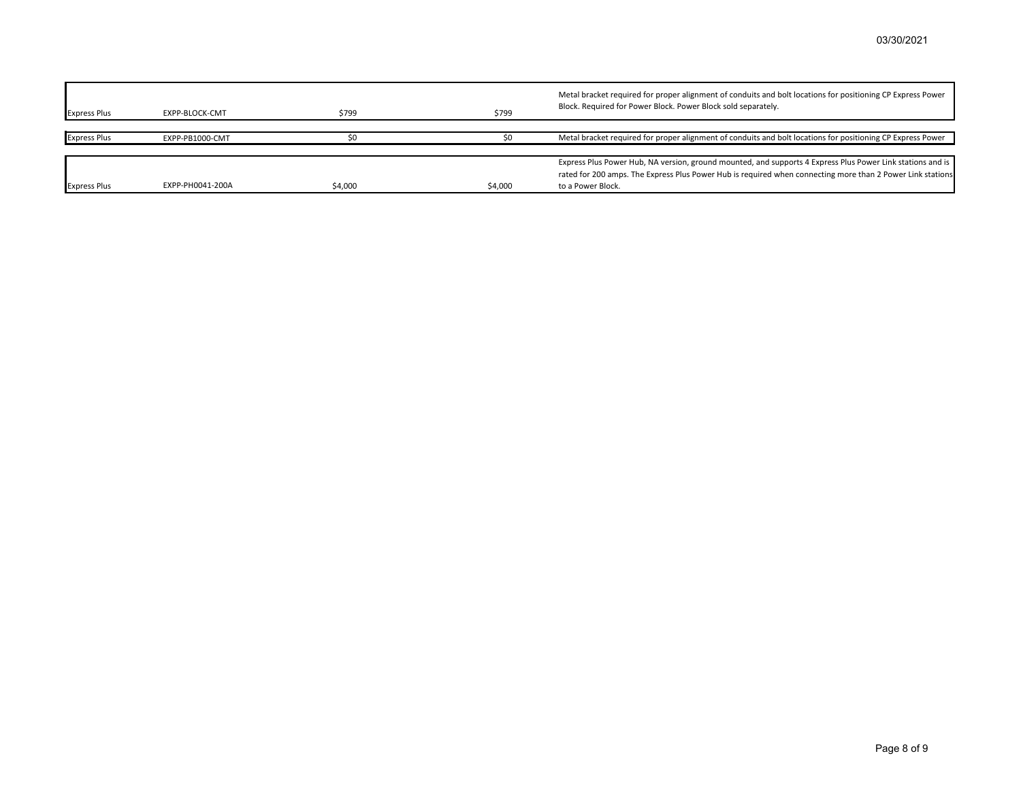| <b>Express Plus</b> | EXPP-BLOCK-CMT   | \$799   | \$799   | Metal bracket required for proper alignment of conduits and bolt locations for positioning CP Express Power<br>Block. Required for Power Block. Power Block sold separately.                                                                  |
|---------------------|------------------|---------|---------|-----------------------------------------------------------------------------------------------------------------------------------------------------------------------------------------------------------------------------------------------|
| <b>Express Plus</b> | EXPP-PB1000-CMT  |         |         | Metal bracket required for proper alignment of conduits and bolt locations for positioning CP Express Power                                                                                                                                   |
| <b>Express Plus</b> | EXPP-PH0041-200A | \$4.000 | \$4,000 | Express Plus Power Hub, NA version, ground mounted, and supports 4 Express Plus Power Link stations and is<br>rated for 200 amps. The Express Plus Power Hub is required when connecting more than 2 Power Link stations<br>to a Power Block. |